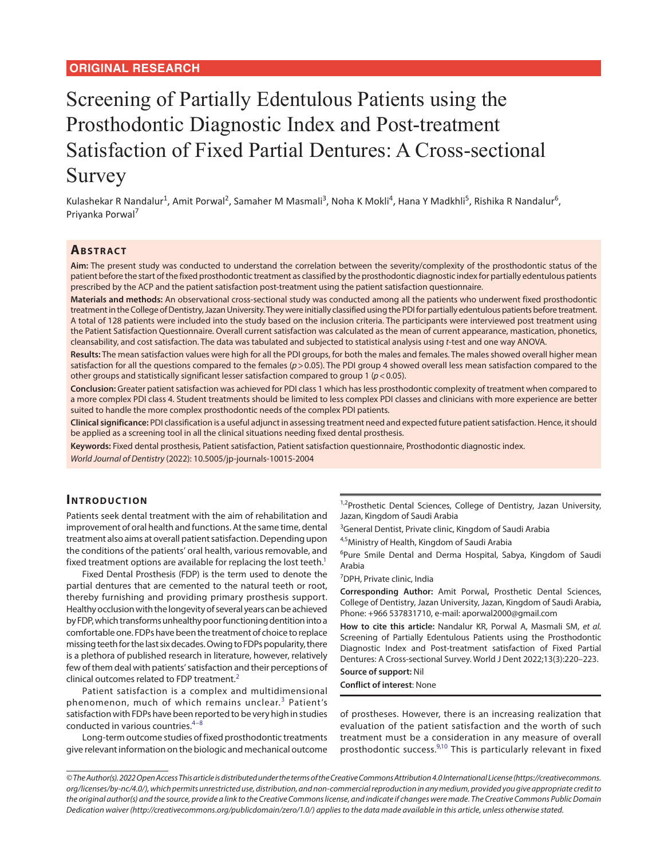## **ORIGINAL RESEARCH**

# Screening of Partially Edentulous Patients using the Prosthodontic Diagnostic Index and Post-treatment Satisfaction of Fixed Partial Dentures: A Cross-sectional Survey

Kulashekar R Nandalur<sup>1</sup>, Amit Porwal<sup>2</sup>, Samaher M Masmali<sup>3</sup>, Noha K Mokli<sup>4</sup>, Hana Y Madkhli<sup>5</sup>, Rishika R Nandalur<sup>6</sup>, Priyanka Porwal<sup>7</sup>

## **ABSTRACT**

**Aim:** The present study was conducted to understand the correlation between the severity/complexity of the prosthodontic status of the patient before the start of the fixed prosthodontic treatment as classified by the prosthodontic diagnostic index for partially edentulous patients prescribed by the ACP and the patient satisfaction post-treatment using the patient satisfaction questionnaire.

**Materials and methods:** An observational cross-sectional study was conducted among all the patients who underwent fixed prosthodontic treatment in the College of Dentistry, Jazan University. They were initially classified using the PDI for partially edentulous patients before treatment. A total of 128 patients were included into the study based on the inclusion criteria. The participants were interviewed post treatment using the Patient Satisfaction Questionnaire. Overall current satisfaction was calculated as the mean of current appearance, mastication, phonetics, cleansability, and cost satisfaction. The data was tabulated and subjected to statistical analysis using *t*-test and one way ANOVA.

**Results:** The mean satisfaction values were high for all the PDI groups, for both the males and females. The males showed overall higher mean satisfaction for all the questions compared to the females (*p*>0.05). The PDI group 4 showed overall less mean satisfaction compared to the other groups and statistically significant lesser satisfaction compared to group 1 (*p*<0.05).

**Conclusion:** Greater patient satisfaction was achieved for PDI class 1 which has less prosthodontic complexity of treatment when compared to a more complex PDI class 4. Student treatments should be limited to less complex PDI classes and clinicians with more experience are better suited to handle the more complex prosthodontic needs of the complex PDI patients.

**Clinical significance:** PDI classification is a useful adjunct in assessing treatment need and expected future patient satisfaction. Hence, it should be applied as a screening tool in all the clinical situations needing fixed dental prosthesis.

**Keywords:** Fixed dental prosthesis, Patient satisfaction, Patient satisfaction questionnaire, Prosthodontic diagnostic index.

*World Journal of Dentistry* (2022): 10.5005/jp-journals-10015-2004

# **Introduc tion**

Patients seek dental treatment with the aim of rehabilitation and improvement of oral health and functions. At the same time, dental treatment also aims at overall patient satisfaction. Depending upon the conditions of the patients' oral health, various removable, and fixed treatment options are available for replacing the lost teeth.<sup>1</sup>

Fixed Dental Prosthesis (FDP) is the term used to denote the partial dentures that are cemented to the natural teeth or root, thereby furnishing and providing primary prosthesis support. Healthy occlusion with the longevity of several years can be achieved by FDP, which transforms unhealthy poor functioning dentition into a comfortable one. FDPs have been the treatment of choice to replace missing teeth for the last six decades. Owing to FDPs popularity, there is a plethora of published research in literature, however, relatively few of them deal with patients' satisfaction and their perceptions of clinical outcomes related to FDP treatment.<sup>[2](#page-3-3)</sup>

Patient satisfaction is a complex and multidimensional phenomenon, much of which remains unclear.<sup>[3](#page-3-4)</sup> Patient's satisfaction with FDPs have been reported to be very high in studies conducted in various countries. $4-8$  $4-8$  $4-8$ 

Long-term outcome studies of fixed prosthodontic treatments give relevant information on the biologic and mechanical outcome

<sup>1,2</sup>Prosthetic Dental Sciences, College of Dentistry, Jazan University, Jazan, Kingdom of Saudi Arabia

<sup>3</sup>General Dentist, Private clinic, Kingdom of Saudi Arabia

<span id="page-0-3"></span><sup>4,5</sup>Ministry of Health, Kingdom of Saudi Arabia

6 Pure Smile Dental and Derma Hospital, Sabya, Kingdom of Saudi Arabia

7 DPH, Private clinic, India

**Corresponding Author:** Amit Porwal**,** Prosthetic Dental Sciences, College of Dentistry, Jazan University, Jazan, Kingdom of Saudi Arabia**,** Phone: +966 537831710, e-mail: aporwal2000@gmail.com

**How to cite this article:** Nandalur KR, Porwal A, Masmali SM, *et al.* Screening of Partially Edentulous Patients using the Prosthodontic Diagnostic Index and Post-treatment satisfaction of Fixed Partial Dentures: A Cross-sectional Survey. World J Dent 2022;13(3):220–223.

## <span id="page-0-4"></span>**Source of support:** Nil

**Conflict of interest**: None

<span id="page-0-6"></span><span id="page-0-5"></span><span id="page-0-2"></span><span id="page-0-1"></span><span id="page-0-0"></span>of prostheses. However, there is an increasing realization that evaluation of the patient satisfaction and the worth of such treatment must be a consideration in any measure of overall prosthodontic success.[9](#page-3-0)[,10](#page-3-1) This is particularly relevant in fixed

*<sup>©</sup> The Author(s). 2022 Open Access This article is distributed under the terms of the Creative Commons Attribution 4.0 International License (https://creativecommons. org/licenses/by-nc/4.0/), which permits unrestricted use, distribution, and non-commercial reproduction in any medium, provided you give appropriate credit to the original author(s) and the source, provide a link to the Creative Commons license, and indicate if changes were made. The Creative Commons Public Domain Dedication waiver (http://creativecommons.org/publicdomain/zero/1.0/) applies to the data made available in this article, unless otherwise stated.*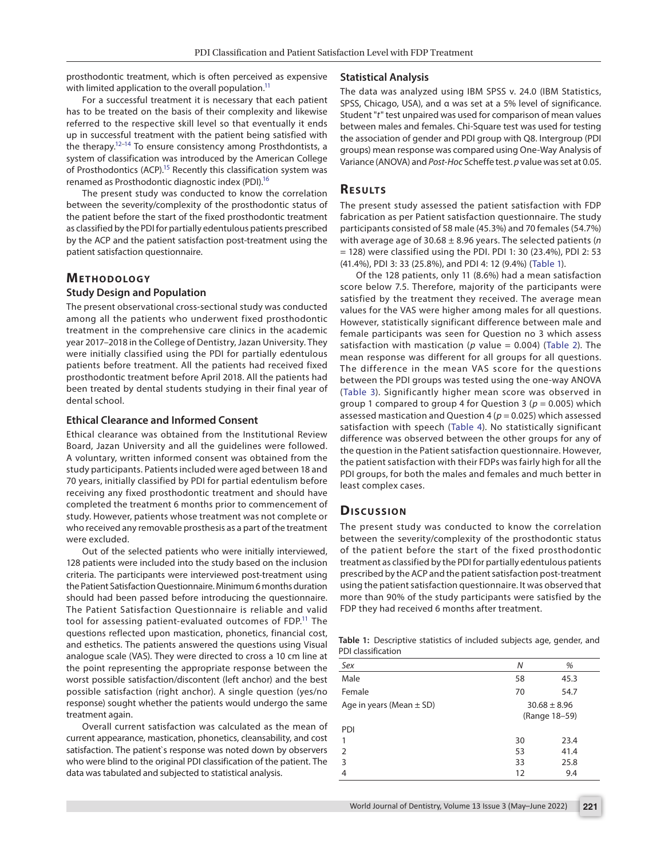prosthodontic treatment, which is often perceived as expensive with limited application to the overall population.<sup>11</sup>

<span id="page-1-7"></span><span id="page-1-6"></span>For a successful treatment it is necessary that each patient has to be treated on the basis of their complexity and likewise referred to the respective skill level so that eventually it ends up in successful treatment with the patient being satisfied with the therapy.<sup>12[–14](#page-3-9)</sup> To ensure consistency among Prosthdontists, a system of classification was introduced by the American College of Prosthodontics (ACP).<sup>15</sup> Recently this classification system was renamed as Prosthodontic diagnostic index (PDI).<sup>16</sup>

The present study was conducted to know the correlation between the severity/complexity of the prosthodontic status of the patient before the start of the fixed prosthodontic treatment as classified by the PDI for partially edentulous patients prescribed by the ACP and the patient satisfaction post-treatment using the patient satisfaction questionnaire.

## **Me thodo logy**

#### **Study Design and Population**

The present observational cross-sectional study was conducted among all the patients who underwent fixed prosthodontic treatment in the comprehensive care clinics in the academic year 2017–2018 in the College of Dentistry, Jazan University. They were initially classified using the PDI for partially edentulous patients before treatment. All the patients had received fixed prosthodontic treatment before April 2018. All the patients had been treated by dental students studying in their final year of dental school.

#### **Ethical Clearance and Informed Consent**

Ethical clearance was obtained from the Institutional Review Board, Jazan University and all the guidelines were followed. A voluntary, written informed consent was obtained from the study participants. Patients included were aged between 18 and 70 years, initially classified by PDI for partial edentulism before receiving any fixed prosthodontic treatment and should have completed the treatment 6 months prior to commencement of study. However, patients whose treatment was not complete or who received any removable prosthesis as a part of the treatment were excluded.

Out of the selected patients who were initially interviewed, 128 patients were included into the study based on the inclusion criteria. The participants were interviewed post-treatment using the Patient Satisfaction Questionnaire. Minimum 6 months duration should had been passed before introducing the questionnaire. The Patient Satisfaction Questionnaire is reliable and valid tool for assessing patient-evaluated outcomes of FDP.<sup>11</sup> The questions reflected upon mastication, phonetics, financial cost, and esthetics. The patients answered the questions using Visual analogue scale (VAS). They were directed to cross a 10 cm line at the point representing the appropriate response between the worst possible satisfaction/discontent (left anchor) and the best possible satisfaction (right anchor). A single question (yes/no response) sought whether the patients would undergo the same treatment again.

Overall current satisfaction was calculated as the mean of current appearance, mastication, phonetics, cleansability, and cost satisfaction. The patient`s response was noted down by observers who were blind to the original PDI classification of the patient. The data was tabulated and subjected to statistical analysis.

## **Statistical Analysis**

<span id="page-1-5"></span>The data was analyzed using IBM SPSS v. 24.0 (IBM Statistics, SPSS, Chicago, USA), and α was set at a 5% level of significance. Student "*t*" test unpaired was used for comparison of mean values between males and females. Chi-Square test was used for testing the association of gender and PDI group with Q8. Intergroup (PDI groups) mean response was compared using One-Way Analysis of Variance (ANOVA) and *Post-Hoc* Scheffe test. *p* value was set at 0.05.

## <span id="page-1-9"></span><span id="page-1-8"></span>**RESULTS**

The present study assessed the patient satisfaction with FDP fabrication as per Patient satisfaction questionnaire. The study participants consisted of 58 male (45.3%) and 70 females (54.7%) with average age of 30.68 ± 8.96 years. The selected patients (*n* = 128) were classified using the PDI. PDI 1: 30 (23.4%), PDI 2: 53 (41.4%), PDI 3: 33 (25.8%), and PDI 4: 12 (9.4%) ([Table 1\)](#page-1-0).

<span id="page-1-3"></span><span id="page-1-2"></span><span id="page-1-1"></span>Of the 128 patients, only 11 (8.6%) had a mean satisfaction score below 7.5. Therefore, majority of the participants were satisfied by the treatment they received. The average mean values for the VAS were higher among males for all questions. However, statistically significant difference between male and female participants was seen for Question no 3 which assess satisfaction with mastication ( $p$  value = 0.004) (Table 2). The mean response was different for all groups for all questions. The difference in the mean VAS score for the questions between the PDI groups was tested using the one-way ANOVA ([Table 3\)](#page-2-1). Significantly higher mean score was observed in group 1 compared to group 4 for Question 3 ( $p = 0.005$ ) which assessed mastication and Question 4 (*p* = 0.025) which assessed satisfaction with speech ([Table 4](#page-2-2)). No statistically significant difference was observed between the other groups for any of the question in the Patient satisfaction questionnaire. However, the patient satisfaction with their FDPs was fairly high for all the PDI groups, for both the males and females and much better in least complex cases.

#### <span id="page-1-4"></span>**Discussion**

The present study was conducted to know the correlation between the severity/complexity of the prosthodontic status of the patient before the start of the fixed prosthodontic treatment as classified by the PDI for partially edentulous patients prescribed by the ACP and the patient satisfaction post-treatment using the patient satisfaction questionnaire. It was observed that more than 90% of the study participants were satisfied by the FDP they had received 6 months after treatment.

<span id="page-1-0"></span>**[Table 1:](#page-1-1)** Descriptive statistics of included subjects age, gender, and PDI classification

| Sex                          | N  | %                                 |
|------------------------------|----|-----------------------------------|
| Male                         | 58 | 45.3                              |
| Female                       | 70 | 54.7                              |
| Age in years (Mean $\pm$ SD) |    | $30.68 \pm 8.96$<br>(Range 18-59) |
| PDI                          |    |                                   |
| 1                            | 30 | 23.4                              |
| 2                            | 53 | 41.4                              |
| 3                            | 33 | 25.8                              |
| 4                            | 12 | 9.4                               |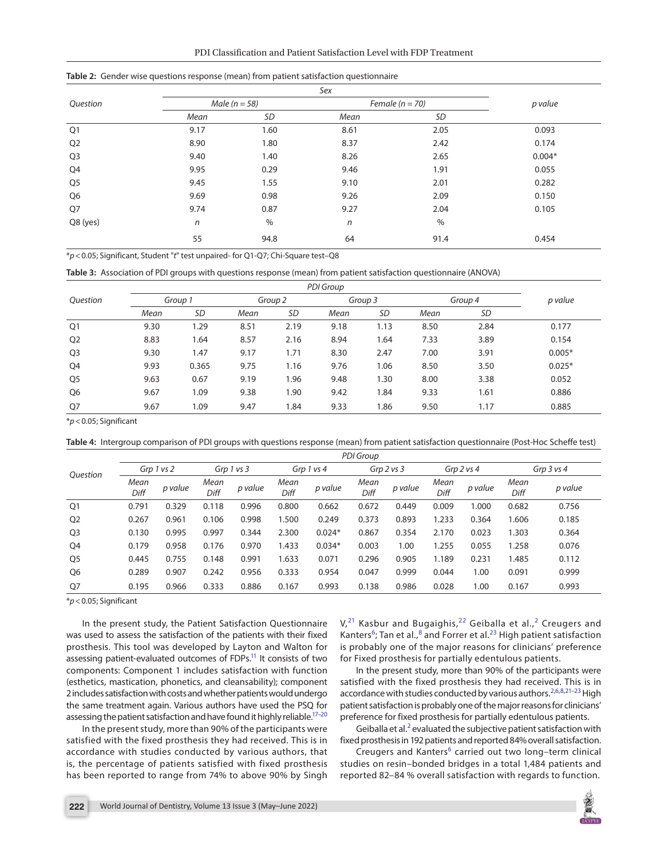| PDI Classification and Patient Satisfaction Level with FDP Treatment |
|----------------------------------------------------------------------|
|----------------------------------------------------------------------|

|                | . .              | . .<br>. .<br>. .<br>Sex |                     |         |          |  |  |  |
|----------------|------------------|--------------------------|---------------------|---------|----------|--|--|--|
| Question       |                  | Male ( $n = 58$ )        | Female ( $n = 70$ ) | p value |          |  |  |  |
|                | Mean             | <b>SD</b>                | Mean                | SD      |          |  |  |  |
| Q <sub>1</sub> | 9.17             | 1.60                     | 8.61                | 2.05    | 0.093    |  |  |  |
| Q <sub>2</sub> | 8.90             | 1.80                     | 8.37                | 2.42    | 0.174    |  |  |  |
| Q <sub>3</sub> | 9.40             | 1.40                     | 8.26                | 2.65    | $0.004*$ |  |  |  |
| Q4             | 9.95             | 0.29                     | 9.46                | 1.91    | 0.055    |  |  |  |
| Q <sub>5</sub> | 9.45             | 1.55                     | 9.10                | 2.01    | 0.282    |  |  |  |
| Q6             | 9.69             | 0.98                     | 9.26                | 2.09    | 0.150    |  |  |  |
| Q7             | 9.74             | 0.87                     | 9.27                | 2.04    | 0.105    |  |  |  |
| Q8 (yes)       | $\boldsymbol{n}$ | $\%$                     | n                   | $\%$    |          |  |  |  |
|                | 55               | 94.8                     | 64                  | 91.4    | 0.454    |  |  |  |

<span id="page-2-0"></span>**[Table 2:](#page-1-2)** Gender wise questions response (mean) from patient satisfaction questionnaire

\**p*<0.05; Significant, Student "*t*" test unpaired- for Q1-Q7; Chi-Square test–Q8

<span id="page-2-1"></span>**[Table 3:](#page-1-3)** Association of PDI groups with questions response (mean) from patient satisfaction questionnaire (ANOVA)

|                | PDI Group |           |         |      |         |      |         |      |          |
|----------------|-----------|-----------|---------|------|---------|------|---------|------|----------|
| Question       | Group 1   |           | Group 2 |      | Group 3 |      | Group 4 |      | p value  |
|                | Mean      | <b>SD</b> | Mean    | SD   | Mean    | SD   | Mean    | SD   |          |
| Q1             | 9.30      | 1.29      | 8.51    | 2.19 | 9.18    | 1.13 | 8.50    | 2.84 | 0.177    |
| Q <sub>2</sub> | 8.83      | 1.64      | 8.57    | 2.16 | 8.94    | 1.64 | 7.33    | 3.89 | 0.154    |
| Q <sub>3</sub> | 9.30      | 1.47      | 9.17    | 1.71 | 8.30    | 2.47 | 7.00    | 3.91 | $0.005*$ |
| Q4             | 9.93      | 0.365     | 9.75    | 1.16 | 9.76    | 1.06 | 8.50    | 3.50 | $0.025*$ |
| Q <sub>5</sub> | 9.63      | 0.67      | 9.19    | 1.96 | 9.48    | 1.30 | 8.00    | 3.38 | 0.052    |
| Q <sub>6</sub> | 9.67      | 1.09      | 9.38    | 1.90 | 9.42    | 1.84 | 9.33    | 1.61 | 0.886    |
| Q7             | 9.67      | 1.09      | 9.47    | 1.84 | 9.33    | 1.86 | 9.50    | 1.17 | 0.885    |

\**p*<0.05; Significant

<span id="page-2-2"></span>**[Table 4:](#page-1-4)** Intergroup comparison of PDI groups with questions response (mean) from patient satisfaction questionnaire (Post-Hoc Scheffe test)

|                |              | <b>PDI Group</b> |              |         |                |          |                |         |              |         |                |         |
|----------------|--------------|------------------|--------------|---------|----------------|----------|----------------|---------|--------------|---------|----------------|---------|
| Ouestion       | Grp 1 vs 2   |                  | Grp 1 vs 3   |         | Grp $1$ vs $4$ |          | Grp $2$ vs $3$ |         | Grp 2 vs 4   |         | Grp $3$ vs $4$ |         |
|                | Mean<br>Diff | p value          | Mean<br>Diff | p value | Mean<br>Diff   | p value  | Mean<br>Diff   | p value | Mean<br>Diff | p value | Mean<br>Diff   | p value |
| Q1             | 0.791        | 0.329            | 0.118        | 0.996   | 0.800          | 0.662    | 0.672          | 0.449   | 0.009        | 1.000   | 0.682          | 0.756   |
| Q <sub>2</sub> | 0.267        | 0.961            | 0.106        | 0.998   | 1.500          | 0.249    | 0.373          | 0.893   | 1.233        | 0.364   | .606           | 0.185   |
| Q <sub>3</sub> | 0.130        | 0.995            | 0.997        | 0.344   | 2.300          | $0.024*$ | 0.867          | 0.354   | 2.170        | 0.023   | 1.303          | 0.364   |
| Q4             | 0.179        | 0.958            | 0.176        | 0.970   | 1.433          | $0.034*$ | 0.003          | 1.00    | 1.255        | 0.055   | 1.258          | 0.076   |
| Q5             | 0.445        | 0.755            | 0.148        | 0.991   | 1.633          | 0.071    | 0.296          | 0.905   | 1.189        | 0.231   | 1.485          | 0.112   |
| Q6             | 0.289        | 0.907            | 0.242        | 0.956   | 0.333          | 0.954    | 0.047          | 0.999   | 0.044        | 1.00    | 0.091          | 0.999   |
| Q7             | 0.195        | 0.966            | 0.333        | 0.886   | 0.167          | 0.993    | 0.138          | 0.986   | 0.028        | 1.00    | 0.167          | 0.993   |

\**p*<0.05; Significant

In the present study, the Patient Satisfaction Questionnaire was used to assess the satisfaction of the patients with their fixed prosthesis. This tool was developed by Layton and Walton for assessing patient-evaluated outcomes of FDPs.<sup>11</sup> It consists of two components: Component 1 includes satisfaction with function (esthetics, mastication, phonetics, and cleansability); component 2 includes satisfaction with costs and whether patients would undergo the same treatment again. Various authors have used the PSQ for assessing the patient satisfaction and have found it highly reliable.<sup>17-20</sup>

In the present study, more than 90% of the participants were satisfied with the fixed prosthesis they had received. This is in accordance with studies conducted by various authors, that is, the percentage of patients satisfied with fixed prosthesis has been reported to range from 74% to above 90% by Singh

<span id="page-2-6"></span><span id="page-2-3"></span> $V,$ <sup>21</sup> Kasbur and Bugaighis,<sup>[22](#page-3-13)</sup> Geiballa et al.,<sup>[2](#page-3-3)</sup> Creugers and Kanters<sup>[6](#page-3-14)</sup>; Tan et al.,<sup>[8](#page-3-6)</sup> and Forrer et al.<sup>[23](#page-3-15)</sup> High patient satisfaction is probably one of the major reasons for clinicians' preference for Fixed prosthesis for partially edentulous patients.

In the present study, more than 90% of the participants were satisfied with the fixed prosthesis they had received. This is in accordance with studies conducted by various authors.<sup>[2](#page-3-3)[,6](#page-3-14),[8](#page-3-6),[21](#page-3-12)-23</sup> High patient satisfaction is probably one of the major reasons for clinicians' preference for fixed prosthesis for partially edentulous patients.

Geiballa et al.<sup>[2](#page-3-3)</sup> evaluated the subjective patient satisfaction with fixed prosthesis in 192 patients and reported 84% overall satisfaction.

Creugers and Kanters<sup>[6](#page-3-14)</sup> carried out two long-term clinical studies on resin–bonded bridges in a total 1,484 patients and reported 82–84 % overall satisfaction with regards to function.

<span id="page-2-8"></span><span id="page-2-7"></span><span id="page-2-5"></span><span id="page-2-4"></span>